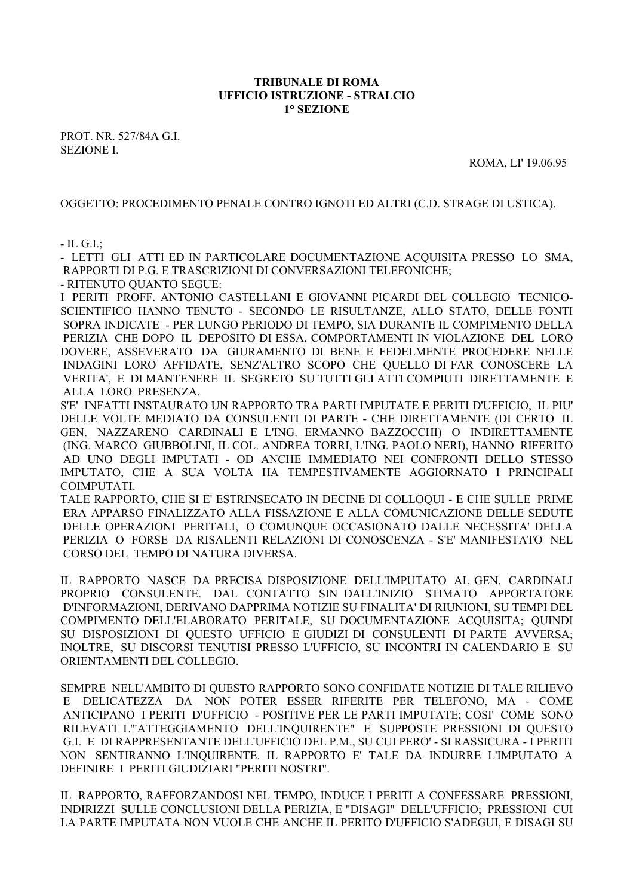## **TRIBUNALE DI ROMA UFFICIO ISTRUZIONE - STRALCIO 1° SEZIONE**

PROT. NR. 527/84A G.I. SEZIONE I.

ROMA, LI' 19.06.95

OGGETTO: PROCEDIMENTO PENALE CONTRO IGNOTI ED ALTRI (C.D. STRAGE DI USTICA).

- IL G.I.;

- LETTI GLI ATTI ED IN PARTICOLARE DOCUMENTAZIONE ACQUISITA PRESSO LO SMA, RAPPORTI DI P.G. E TRASCRIZIONI DI CONVERSAZIONI TELEFONICHE;

- RITENUTO QUANTO SEGUE:

I PERITI PROFF. ANTONIO CASTELLANI E GIOVANNI PICARDI DEL COLLEGIO TECNICO-SCIENTIFICO HANNO TENUTO - SECONDO LE RISULTANZE, ALLO STATO, DELLE FONTI SOPRA INDICATE - PER LUNGO PERIODO DI TEMPO, SIA DURANTE IL COMPIMENTO DELLA PERIZIA CHE DOPO IL DEPOSITO DI ESSA, COMPORTAMENTI IN VIOLAZIONE DEL LORO DOVERE, ASSEVERATO DA GIURAMENTO DI BENE E FEDELMENTE PROCEDERE NELLE INDAGINI LORO AFFIDATE, SENZ'ALTRO SCOPO CHE QUELLO DI FAR CONOSCERE LA VERITA', E DI MANTENERE IL SEGRETO SU TUTTI GLI ATTI COMPIUTI DIRETTAMENTE E ALLA LORO PRESENZA.

S'E' INFATTI INSTAURATO UN RAPPORTO TRA PARTI IMPUTATE E PERITI D'UFFICIO, IL PIU' DELLE VOLTE MEDIATO DA CONSULENTI DI PARTE - CHE DIRETTAMENTE (DI CERTO IL GEN. NAZZARENO CARDINALI E L'ING. ERMANNO BAZZOCCHI) O INDIRETTAMENTE (ING. MARCO GIUBBOLINI, IL COL. ANDREA TORRI, L'ING. PAOLO NERI), HANNO RIFERITO AD UNO DEGLI IMPUTATI - OD ANCHE IMMEDIATO NEI CONFRONTI DELLO STESSO IMPUTATO, CHE A SUA VOLTA HA TEMPESTIVAMENTE AGGIORNATO I PRINCIPALI COIMPUTATI.

TALE RAPPORTO, CHE SI E' ESTRINSECATO IN DECINE DI COLLOQUI - E CHE SULLE PRIME ERA APPARSO FINALIZZATO ALLA FISSAZIONE E ALLA COMUNICAZIONE DELLE SEDUTE DELLE OPERAZIONI PERITALI, O COMUNQUE OCCASIONATO DALLE NECESSITA' DELLA PERIZIA O FORSE DA RISALENTI RELAZIONI DI CONOSCENZA - S'E' MANIFESTATO NEL CORSO DEL TEMPO DI NATURA DIVERSA.

IL RAPPORTO NASCE DA PRECISA DISPOSIZIONE DELL'IMPUTATO AL GEN. CARDINALI PROPRIO CONSULENTE. DAL CONTATTO SIN DALL'INIZIO STIMATO APPORTATORE D'INFORMAZIONI, DERIVANO DAPPRIMA NOTIZIE SU FINALITA' DI RIUNIONI, SU TEMPI DEL COMPIMENTO DELL'ELABORATO PERITALE, SU DOCUMENTAZIONE ACQUISITA; QUINDI SU DISPOSIZIONI DI QUESTO UFFICIO E GIUDIZI DI CONSULENTI DI PARTE AVVERSA; INOLTRE, SU DISCORSI TENUTISI PRESSO L'UFFICIO, SU INCONTRI IN CALENDARIO E SU ORIENTAMENTI DEL COLLEGIO.

SEMPRE NELL'AMBITO DI QUESTO RAPPORTO SONO CONFIDATE NOTIZIE DI TALE RILIEVO E DELICATEZZA DA NON POTER ESSER RIFERITE PER TELEFONO, MA - COME ANTICIPANO I PERITI D'UFFICIO - POSITIVE PER LE PARTI IMPUTATE; COSI' COME SONO RILEVATI L'"ATTEGGIAMENTO DELL'INQUIRENTE" E SUPPOSTE PRESSIONI DI QUESTO G.I. E DI RAPPRESENTANTE DELL'UFFICIO DEL P.M., SU CUI PERO' - SI RASSICURA - I PERITI NON SENTIRANNO L'INQUIRENTE. IL RAPPORTO E' TALE DA INDURRE L'IMPUTATO A DEFINIRE I PERITI GIUDIZIARI "PERITI NOSTRI".

IL RAPPORTO, RAFFORZANDOSI NEL TEMPO, INDUCE I PERITI A CONFESSARE PRESSIONI, INDIRIZZI SULLE CONCLUSIONI DELLA PERIZIA, E "DISAGI" DELL'UFFICIO; PRESSIONI CUI LA PARTE IMPUTATA NON VUOLE CHE ANCHE IL PERITO D'UFFICIO S'ADEGUI, E DISAGI SU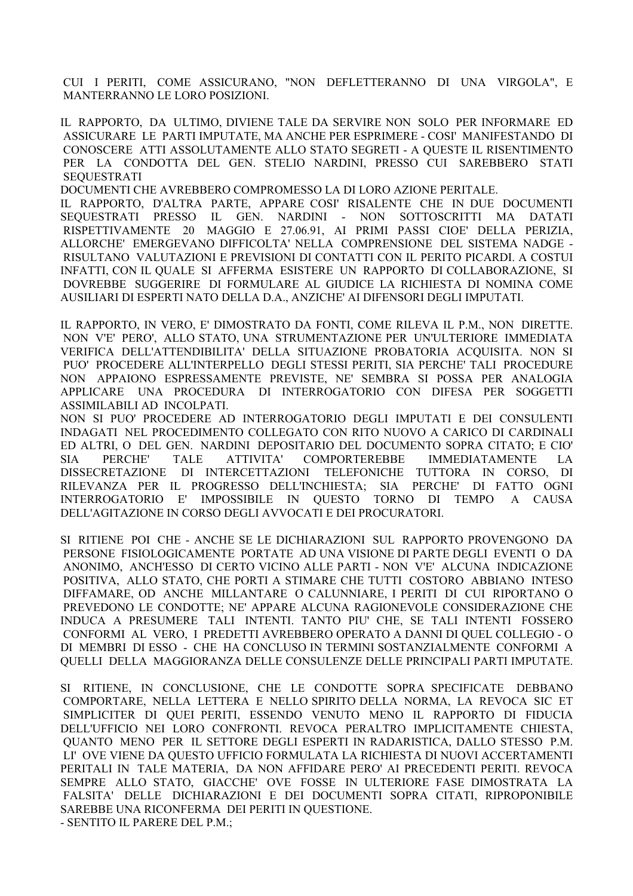CUI I PERITI, COME ASSICURANO, "NON DEFLETTERANNO DI UNA VIRGOLA", E MANTERRANNO LE LORO POSIZIONI.

IL RAPPORTO, DA ULTIMO, DIVIENE TALE DA SERVIRE NON SOLO PER INFORMARE ED ASSICURARE LE PARTI IMPUTATE, MA ANCHE PER ESPRIMERE - COSI' MANIFESTANDO DI CONOSCERE ATTI ASSOLUTAMENTE ALLO STATO SEGRETI - A QUESTE IL RISENTIMENTO PER LA CONDOTTA DEL GEN. STELIO NARDINI, PRESSO CUI SAREBBERO STATI **SEQUESTRATI** 

DOCUMENTI CHE AVREBBERO COMPROMESSO LA DI LORO AZIONE PERITALE.

IL RAPPORTO, D'ALTRA PARTE, APPARE COSI' RISALENTE CHE IN DUE DOCUMENTI SEQUESTRATI PRESSO IL GEN. NARDINI - NON SOTTOSCRITTI MA DATATI RISPETTIVAMENTE 20 MAGGIO E 27.06.91, AI PRIMI PASSI CIOE' DELLA PERIZIA, ALLORCHE' EMERGEVANO DIFFICOLTA' NELLA COMPRENSIONE DEL SISTEMA NADGE - RISULTANO VALUTAZIONI E PREVISIONI DI CONTATTI CON IL PERITO PICARDI. A COSTUI INFATTI, CON IL QUALE SI AFFERMA ESISTERE UN RAPPORTO DI COLLABORAZIONE, SI DOVREBBE SUGGERIRE DI FORMULARE AL GIUDICE LA RICHIESTA DI NOMINA COME AUSILIARI DI ESPERTI NATO DELLA D.A., ANZICHE' AI DIFENSORI DEGLI IMPUTATI.

IL RAPPORTO, IN VERO, E' DIMOSTRATO DA FONTI, COME RILEVA IL P.M., NON DIRETTE. NON V'E' PERO', ALLO STATO, UNA STRUMENTAZIONE PER UN'ULTERIORE IMMEDIATA VERIFICA DELL'ATTENDIBILITA' DELLA SITUAZIONE PROBATORIA ACQUISITA. NON SI PUO' PROCEDERE ALL'INTERPELLO DEGLI STESSI PERITI, SIA PERCHE' TALI PROCEDURE NON APPAIONO ESPRESSAMENTE PREVISTE, NE' SEMBRA SI POSSA PER ANALOGIA APPLICARE UNA PROCEDURA DI INTERROGATORIO CON DIFESA PER SOGGETTI ASSIMILABILI AD INCOLPATI.

NON SI PUO' PROCEDERE AD INTERROGATORIO DEGLI IMPUTATI E DEI CONSULENTI INDAGATI NEL PROCEDIMENTO COLLEGATO CON RITO NUOVO A CARICO DI CARDINALI ED ALTRI, O DEL GEN. NARDINI DEPOSITARIO DEL DOCUMENTO SOPRA CITATO; E CIO' SIA PERCHE' TALE ATTIVITA' COMPORTEREBBE IMMEDIATAMENTE LA DISSECRETAZIONE DI INTERCETTAZIONI TELEFONICHE TUTTORA IN CORSO, DI RILEVANZA PER IL PROGRESSO DELL'INCHIESTA; SIA PERCHE' DI FATTO OGNI INTERROGATORIO E' IMPOSSIBILE IN QUESTO TORNO DI TEMPO A CAUSA DELL'AGITAZIONE IN CORSO DEGLI AVVOCATI E DEI PROCURATORI.

SI RITIENE POI CHE - ANCHE SE LE DICHIARAZIONI SUL RAPPORTO PROVENGONO DA PERSONE FISIOLOGICAMENTE PORTATE AD UNA VISIONE DI PARTE DEGLI EVENTI O DA ANONIMO, ANCH'ESSO DI CERTO VICINO ALLE PARTI - NON V'E' ALCUNA INDICAZIONE POSITIVA, ALLO STATO, CHE PORTI A STIMARE CHE TUTTI COSTORO ABBIANO INTESO DIFFAMARE, OD ANCHE MILLANTARE O CALUNNIARE, I PERITI DI CUI RIPORTANO O PREVEDONO LE CONDOTTE; NE' APPARE ALCUNA RAGIONEVOLE CONSIDERAZIONE CHE INDUCA A PRESUMERE TALI INTENTI. TANTO PIU' CHE, SE TALI INTENTI FOSSERO CONFORMI AL VERO, I PREDETTI AVREBBERO OPERATO A DANNI DI QUEL COLLEGIO - O DI MEMBRI DI ESSO - CHE HA CONCLUSO IN TERMINI SOSTANZIALMENTE CONFORMI A QUELLI DELLA MAGGIORANZA DELLE CONSULENZE DELLE PRINCIPALI PARTI IMPUTATE.

SI RITIENE, IN CONCLUSIONE, CHE LE CONDOTTE SOPRA SPECIFICATE DEBBANO COMPORTARE, NELLA LETTERA E NELLO SPIRITO DELLA NORMA, LA REVOCA SIC ET SIMPLICITER DI QUEI PERITI, ESSENDO VENUTO MENO IL RAPPORTO DI FIDUCIA DELL'UFFICIO NEI LORO CONFRONTI. REVOCA PERALTRO IMPLICITAMENTE CHIESTA, QUANTO MENO PER IL SETTORE DEGLI ESPERTI IN RADARISTICA, DALLO STESSO P.M. LI' OVE VIENE DA QUESTO UFFICIO FORMULATA LA RICHIESTA DI NUOVI ACCERTAMENTI PERITALI IN TALE MATERIA, DA NON AFFIDARE PERO' AI PRECEDENTI PERITI. REVOCA SEMPRE ALLO STATO, GIACCHE' OVE FOSSE IN ULTERIORE FASE DIMOSTRATA LA FALSITA' DELLE DICHIARAZIONI E DEI DOCUMENTI SOPRA CITATI, RIPROPONIBILE SAREBBE UNA RICONFERMA DEI PERITI IN QUESTIONE. - SENTITO IL PARERE DEL P.M.;